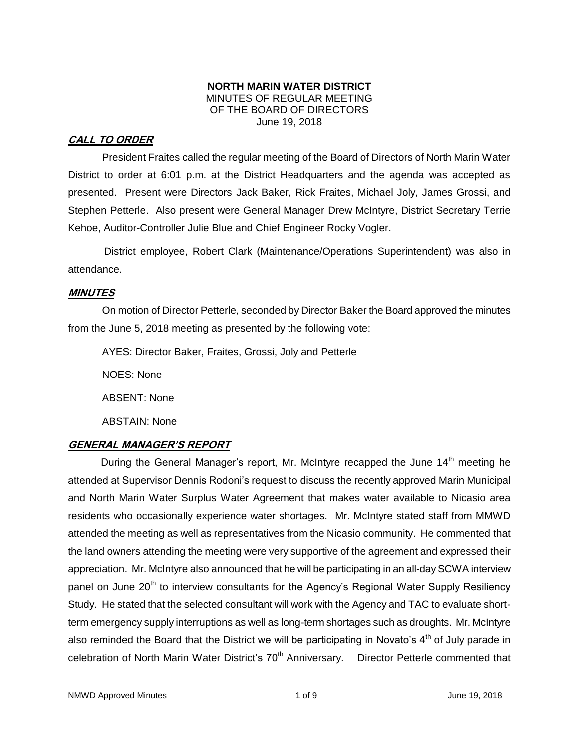#### **NORTH MARIN WATER DISTRICT** MINUTES OF REGULAR MEETING OF THE BOARD OF DIRECTORS June 19, 2018

# **CALL TO ORDER**

President Fraites called the regular meeting of the Board of Directors of North Marin Water District to order at 6:01 p.m. at the District Headquarters and the agenda was accepted as presented. Present were Directors Jack Baker, Rick Fraites, Michael Joly, James Grossi, and Stephen Petterle. Also present were General Manager Drew McIntyre, District Secretary Terrie Kehoe, Auditor-Controller Julie Blue and Chief Engineer Rocky Vogler.

District employee, Robert Clark (Maintenance/Operations Superintendent) was also in attendance.

### **MINUTES**

On motion of Director Petterle, seconded by Director Baker the Board approved the minutes from the June 5, 2018 meeting as presented by the following vote:

AYES: Director Baker, Fraites, Grossi, Joly and Petterle

NOES: None

ABSENT: None

ABSTAIN: None

# **GENERAL MANAGER'S REPORT**

During the General Manager's report, Mr. McIntyre recapped the June 14<sup>th</sup> meeting he attended at Supervisor Dennis Rodoni's request to discuss the recently approved Marin Municipal and North Marin Water Surplus Water Agreement that makes water available to Nicasio area residents who occasionally experience water shortages. Mr. McIntyre stated staff from MMWD attended the meeting as well as representatives from the Nicasio community. He commented that the land owners attending the meeting were very supportive of the agreement and expressed their appreciation. Mr. McIntyre also announced that he will be participating in an all-day SCWA interview panel on June 20<sup>th</sup> to interview consultants for the Agency's Regional Water Supply Resiliency Study. He stated that the selected consultant will work with the Agency and TAC to evaluate shortterm emergency supply interruptions as well as long-term shortages such as droughts. Mr. McIntyre also reminded the Board that the District we will be participating in Novato's  $4<sup>th</sup>$  of July parade in celebration of North Marin Water District's 70<sup>th</sup> Anniversary. Director Petterle commented that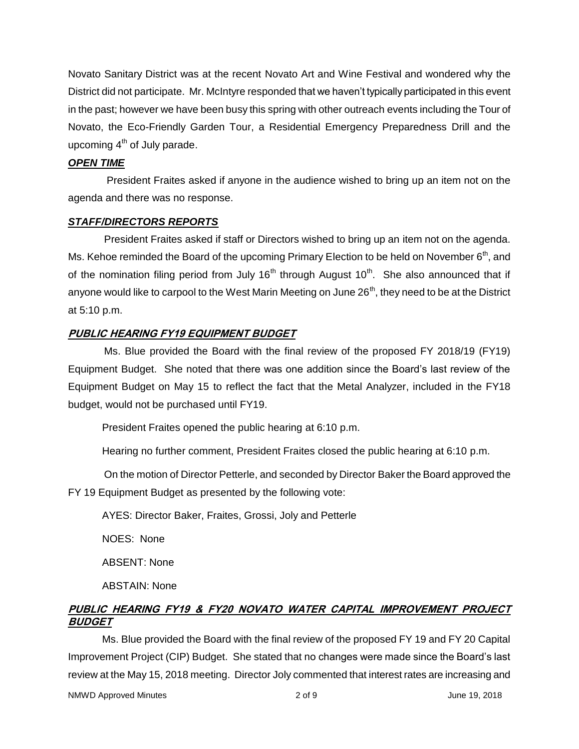Novato Sanitary District was at the recent Novato Art and Wine Festival and wondered why the District did not participate. Mr. McIntyre responded that we haven't typically participated in this event in the past; however we have been busy this spring with other outreach events including the Tour of Novato, the Eco-Friendly Garden Tour, a Residential Emergency Preparedness Drill and the upcoming  $4<sup>th</sup>$  of July parade.

#### *OPEN TIME*

President Fraites asked if anyone in the audience wished to bring up an item not on the agenda and there was no response.

#### *STAFF/DIRECTORS REPORTS*

President Fraites asked if staff or Directors wished to bring up an item not on the agenda. Ms. Kehoe reminded the Board of the upcoming Primary Election to be held on November  $6<sup>th</sup>$ , and of the nomination filing period from July 16<sup>th</sup> through August 10<sup>th</sup>. She also announced that if anyone would like to carpool to the West Marin Meeting on June  $26<sup>th</sup>$ , they need to be at the District at 5:10 p.m.

#### **PUBLIC HEARING FY19 EQUIPMENT BUDGET**

Ms. Blue provided the Board with the final review of the proposed FY 2018/19 (FY19) Equipment Budget. She noted that there was one addition since the Board's last review of the Equipment Budget on May 15 to reflect the fact that the Metal Analyzer, included in the FY18 budget, would not be purchased until FY19.

President Fraites opened the public hearing at 6:10 p.m.

Hearing no further comment, President Fraites closed the public hearing at 6:10 p.m.

On the motion of Director Petterle, and seconded by Director Baker the Board approved the FY 19 Equipment Budget as presented by the following vote:

AYES: Director Baker, Fraites, Grossi, Joly and Petterle

NOES: None

ABSENT: None

ABSTAIN: None

# **PUBLIC HEARING FY19 & FY20 NOVATO WATER CAPITAL IMPROVEMENT PROJECT BUDGET**

Ms. Blue provided the Board with the final review of the proposed FY 19 and FY 20 Capital Improvement Project (CIP) Budget. She stated that no changes were made since the Board's last review at the May 15, 2018 meeting. Director Joly commented that interest rates are increasing and

NMWD Approved Minutes and the control of the 2 of 9 and 2018 and 2018 and 2018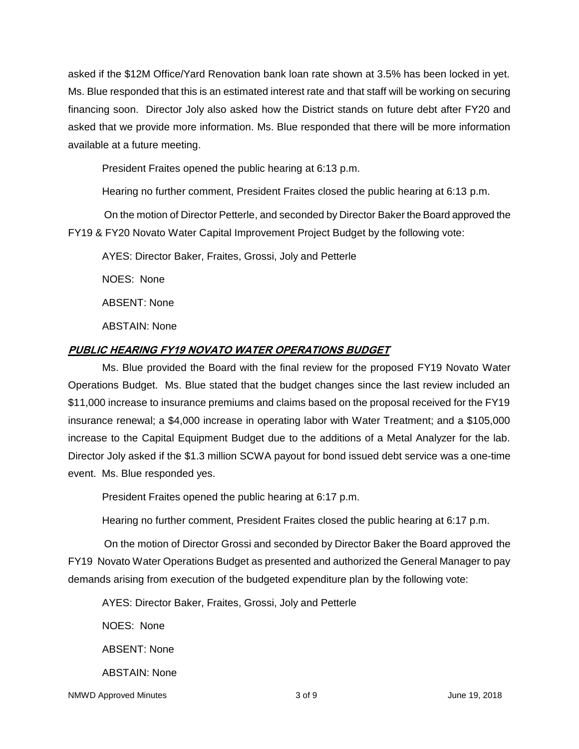asked if the \$12M Office/Yard Renovation bank loan rate shown at 3.5% has been locked in yet. Ms. Blue responded that this is an estimated interest rate and that staff will be working on securing financing soon. Director Joly also asked how the District stands on future debt after FY20 and asked that we provide more information. Ms. Blue responded that there will be more information available at a future meeting.

President Fraites opened the public hearing at 6:13 p.m.

Hearing no further comment, President Fraites closed the public hearing at 6:13 p.m.

On the motion of Director Petterle, and seconded by Director Baker the Board approved the FY19 & FY20 Novato Water Capital Improvement Project Budget by the following vote:

AYES: Director Baker, Fraites, Grossi, Joly and Petterle

NOES: None

ABSENT: None

ABSTAIN: None

#### **PUBLIC HEARING FY19 NOVATO WATER OPERATIONS BUDGET**

Ms. Blue provided the Board with the final review for the proposed FY19 Novato Water Operations Budget. Ms. Blue stated that the budget changes since the last review included an \$11,000 increase to insurance premiums and claims based on the proposal received for the FY19 insurance renewal; a \$4,000 increase in operating labor with Water Treatment; and a \$105,000 increase to the Capital Equipment Budget due to the additions of a Metal Analyzer for the lab. Director Joly asked if the \$1.3 million SCWA payout for bond issued debt service was a one-time event. Ms. Blue responded yes.

President Fraites opened the public hearing at 6:17 p.m.

Hearing no further comment, President Fraites closed the public hearing at 6:17 p.m.

On the motion of Director Grossi and seconded by Director Baker the Board approved the FY19 Novato Water Operations Budget as presented and authorized the General Manager to pay demands arising from execution of the budgeted expenditure plan by the following vote:

AYES: Director Baker, Fraites, Grossi, Joly and Petterle

NOES: None

ABSENT: None

ABSTAIN: None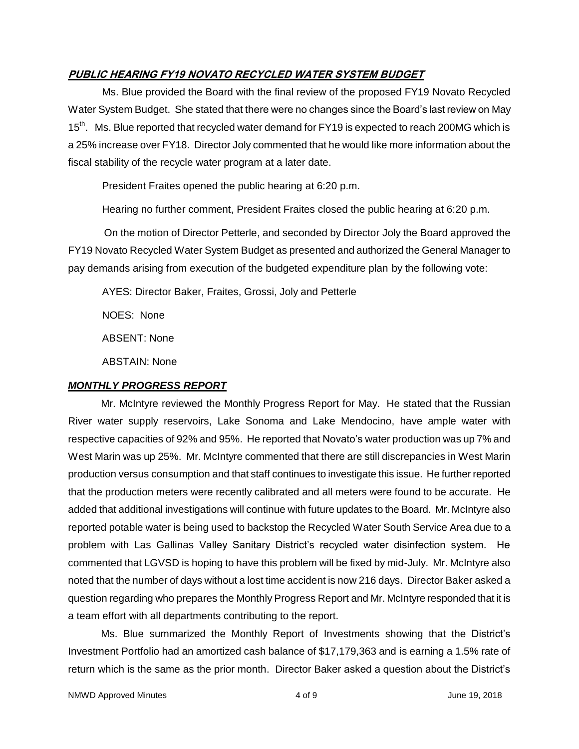#### **PUBLIC HEARING FY19 NOVATO RECYCLED WATER SYSTEM BUDGET**

Ms. Blue provided the Board with the final review of the proposed FY19 Novato Recycled Water System Budget. She stated that there were no changes since the Board's last review on May 15<sup>th</sup>. Ms. Blue reported that recycled water demand for FY19 is expected to reach 200MG which is a 25% increase over FY18. Director Joly commented that he would like more information about the fiscal stability of the recycle water program at a later date.

President Fraites opened the public hearing at 6:20 p.m.

Hearing no further comment, President Fraites closed the public hearing at 6:20 p.m.

On the motion of Director Petterle, and seconded by Director Joly the Board approved the FY19 Novato Recycled Water System Budget as presented and authorized the General Manager to pay demands arising from execution of the budgeted expenditure plan by the following vote:

AYES: Director Baker, Fraites, Grossi, Joly and Petterle

NOES: None

ABSENT: None

ABSTAIN: None

#### *MONTHLY PROGRESS REPORT*

Mr. McIntyre reviewed the Monthly Progress Report for May. He stated that the Russian River water supply reservoirs, Lake Sonoma and Lake Mendocino, have ample water with respective capacities of 92% and 95%. He reported that Novato's water production was up 7% and West Marin was up 25%. Mr. McIntyre commented that there are still discrepancies in West Marin production versus consumption and that staff continues to investigate this issue. He further reported that the production meters were recently calibrated and all meters were found to be accurate. He added that additional investigations will continue with future updates to the Board. Mr. McIntyre also reported potable water is being used to backstop the Recycled Water South Service Area due to a problem with Las Gallinas Valley Sanitary District's recycled water disinfection system. He commented that LGVSD is hoping to have this problem will be fixed by mid-July. Mr. McIntyre also noted that the number of days without a lost time accident is now 216 days. Director Baker asked a question regarding who prepares the Monthly Progress Report and Mr. McIntyre responded that it is a team effort with all departments contributing to the report.

Ms. Blue summarized the Monthly Report of Investments showing that the District's Investment Portfolio had an amortized cash balance of \$17,179,363 and is earning a 1.5% rate of return which is the same as the prior month. Director Baker asked a question about the District's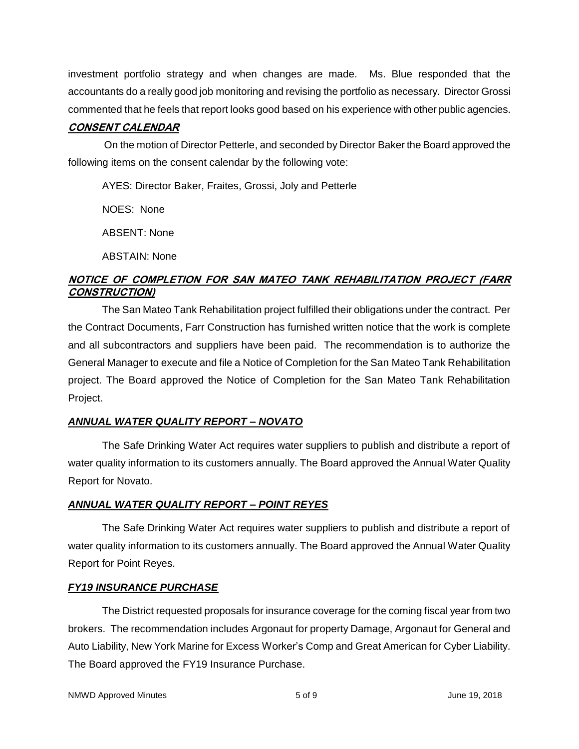investment portfolio strategy and when changes are made. Ms. Blue responded that the accountants do a really good job monitoring and revising the portfolio as necessary. Director Grossi commented that he feels that report looks good based on his experience with other public agencies.

# **CONSENT CALENDAR**

On the motion of Director Petterle, and seconded by Director Baker the Board approved the following items on the consent calendar by the following vote:

AYES: Director Baker, Fraites, Grossi, Joly and Petterle

NOES: None

ABSENT: None

ABSTAIN: None

# **NOTICE OF COMPLETION FOR SAN MATEO TANK REHABILITATION PROJECT (FARR CONSTRUCTION)**

The San Mateo Tank Rehabilitation project fulfilled their obligations under the contract. Per the Contract Documents, Farr Construction has furnished written notice that the work is complete and all subcontractors and suppliers have been paid. The recommendation is to authorize the General Manager to execute and file a Notice of Completion for the San Mateo Tank Rehabilitation project. The Board approved the Notice of Completion for the San Mateo Tank Rehabilitation Project.

# *ANNUAL WATER QUALITY REPORT – NOVATO*

The Safe Drinking Water Act requires water suppliers to publish and distribute a report of water quality information to its customers annually. The Board approved the Annual Water Quality Report for Novato.

# *ANNUAL WATER QUALITY REPORT – POINT REYES*

The Safe Drinking Water Act requires water suppliers to publish and distribute a report of water quality information to its customers annually. The Board approved the Annual Water Quality Report for Point Reyes.

# *FY19 INSURANCE PURCHASE*

The District requested proposals for insurance coverage for the coming fiscal year from two brokers. The recommendation includes Argonaut for property Damage, Argonaut for General and Auto Liability, New York Marine for Excess Worker's Comp and Great American for Cyber Liability. The Board approved the FY19 Insurance Purchase.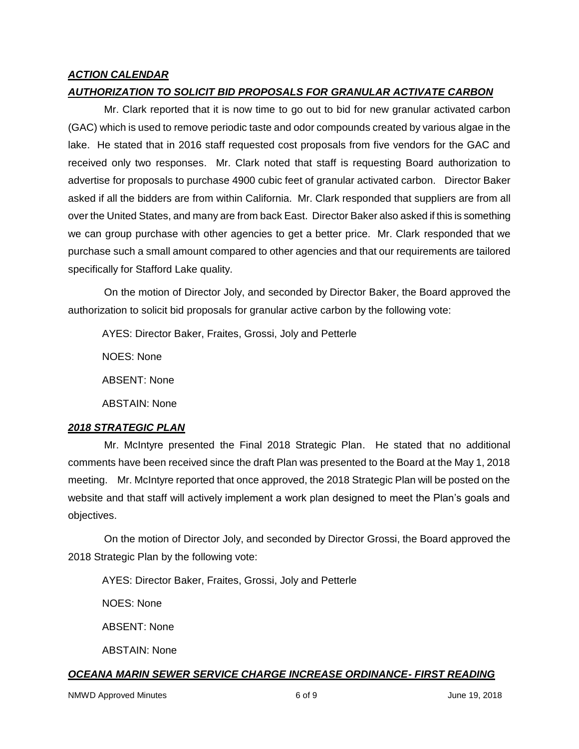#### *ACTION CALENDAR*

#### *AUTHORIZATION TO SOLICIT BID PROPOSALS FOR GRANULAR ACTIVATE CARBON*

Mr. Clark reported that it is now time to go out to bid for new granular activated carbon (GAC) which is used to remove periodic taste and odor compounds created by various algae in the lake. He stated that in 2016 staff requested cost proposals from five vendors for the GAC and received only two responses. Mr. Clark noted that staff is requesting Board authorization to advertise for proposals to purchase 4900 cubic feet of granular activated carbon. Director Baker asked if all the bidders are from within California. Mr. Clark responded that suppliers are from all over the United States, and many are from back East. Director Baker also asked if this is something we can group purchase with other agencies to get a better price. Mr. Clark responded that we purchase such a small amount compared to other agencies and that our requirements are tailored specifically for Stafford Lake quality.

On the motion of Director Joly, and seconded by Director Baker, the Board approved the authorization to solicit bid proposals for granular active carbon by the following vote:

AYES: Director Baker, Fraites, Grossi, Joly and Petterle

NOES: None

ABSENT: None

ABSTAIN: None

#### *2018 STRATEGIC PLAN*

Mr. McIntyre presented the Final 2018 Strategic Plan. He stated that no additional comments have been received since the draft Plan was presented to the Board at the May 1, 2018 meeting. Mr. McIntyre reported that once approved, the 2018 Strategic Plan will be posted on the website and that staff will actively implement a work plan designed to meet the Plan's goals and objectives.

On the motion of Director Joly, and seconded by Director Grossi, the Board approved the 2018 Strategic Plan by the following vote:

AYES: Director Baker, Fraites, Grossi, Joly and Petterle

NOES: None

ABSENT: None

ABSTAIN: None

#### *OCEANA MARIN SEWER SERVICE CHARGE INCREASE ORDINANCE- FIRST READING*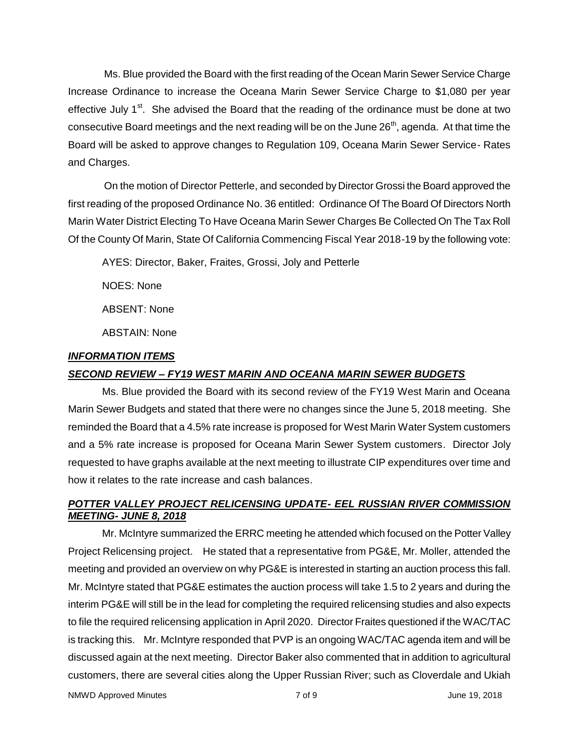Ms. Blue provided the Board with the first reading of the Ocean Marin Sewer Service Charge Increase Ordinance to increase the Oceana Marin Sewer Service Charge to \$1,080 per year effective July 1<sup>st</sup>. She advised the Board that the reading of the ordinance must be done at two consecutive Board meetings and the next reading will be on the June  $26<sup>th</sup>$ , agenda. At that time the Board will be asked to approve changes to Regulation 109, Oceana Marin Sewer Service- Rates and Charges.

On the motion of Director Petterle, and seconded by Director Grossi the Board approved the first reading of the proposed Ordinance No. 36 entitled: Ordinance Of The Board Of Directors North Marin Water District Electing To Have Oceana Marin Sewer Charges Be Collected On The Tax Roll Of the County Of Marin, State Of California Commencing Fiscal Year 2018-19 by the following vote:

AYES: Director, Baker, Fraites, Grossi, Joly and Petterle

NOES: None

ABSENT: None

ABSTAIN: None

### *INFORMATION ITEMS*

### *SECOND REVIEW – FY19 WEST MARIN AND OCEANA MARIN SEWER BUDGETS*

Ms. Blue provided the Board with its second review of the FY19 West Marin and Oceana Marin Sewer Budgets and stated that there were no changes since the June 5, 2018 meeting. She reminded the Board that a 4.5% rate increase is proposed for West Marin Water System customers and a 5% rate increase is proposed for Oceana Marin Sewer System customers. Director Joly requested to have graphs available at the next meeting to illustrate CIP expenditures over time and how it relates to the rate increase and cash balances.

# *POTTER VALLEY PROJECT RELICENSING UPDATE- EEL RUSSIAN RIVER COMMISSION MEETING- JUNE 8, 2018*

Mr. McIntyre summarized the ERRC meeting he attended which focused on the Potter Valley Project Relicensing project. He stated that a representative from PG&E, Mr. Moller, attended the meeting and provided an overview on why PG&E is interested in starting an auction process this fall. Mr. McIntyre stated that PG&E estimates the auction process will take 1.5 to 2 years and during the interim PG&E will still be in the lead for completing the required relicensing studies and also expects to file the required relicensing application in April 2020. Director Fraites questioned if the WAC/TAC is tracking this. Mr. McIntyre responded that PVP is an ongoing WAC/TAC agenda item and will be discussed again at the next meeting. Director Baker also commented that in addition to agricultural customers, there are several cities along the Upper Russian River; such as Cloverdale and Ukiah

NMWD Approved Minutes and the control of the control of 9 and 19, 2018 and 19, 2018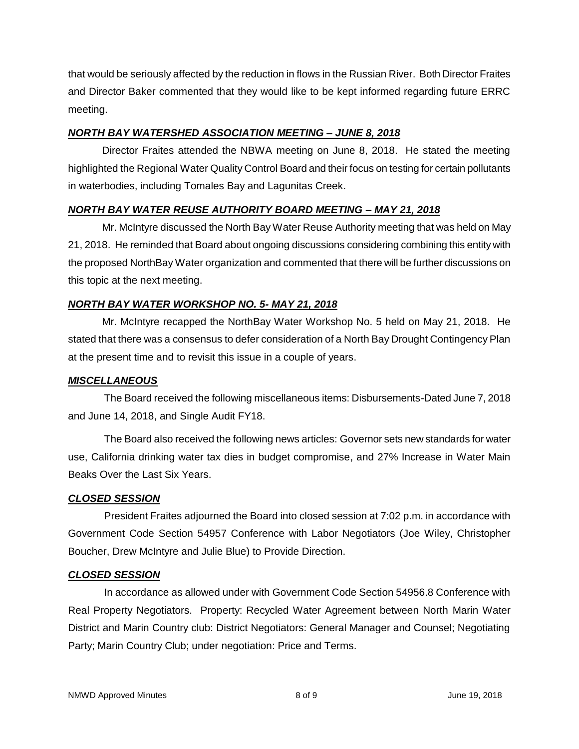that would be seriously affected by the reduction in flows in the Russian River. Both Director Fraites and Director Baker commented that they would like to be kept informed regarding future ERRC meeting.

### *NORTH BAY WATERSHED ASSOCIATION MEETING – JUNE 8, 2018*

Director Fraites attended the NBWA meeting on June 8, 2018. He stated the meeting highlighted the Regional Water Quality Control Board and their focus on testing for certain pollutants in waterbodies, including Tomales Bay and Lagunitas Creek.

### *NORTH BAY WATER REUSE AUTHORITY BOARD MEETING – MAY 21, 2018*

Mr. McIntyre discussed the North Bay Water Reuse Authority meeting that was held on May 21, 2018. He reminded that Board about ongoing discussions considering combining this entity with the proposed NorthBay Water organization and commented that there will be further discussions on this topic at the next meeting.

### *NORTH BAY WATER WORKSHOP NO. 5- MAY 21, 2018*

Mr. McIntyre recapped the NorthBay Water Workshop No. 5 held on May 21, 2018. He stated that there was a consensus to defer consideration of a North Bay Drought Contingency Plan at the present time and to revisit this issue in a couple of years.

#### *MISCELLANEOUS*

The Board received the following miscellaneous items: Disbursements-Dated June 7, 2018 and June 14, 2018, and Single Audit FY18.

The Board also received the following news articles: Governor sets new standards for water use, California drinking water tax dies in budget compromise, and 27% Increase in Water Main Beaks Over the Last Six Years.

#### *CLOSED SESSION*

President Fraites adjourned the Board into closed session at 7:02 p.m. in accordance with Government Code Section 54957 Conference with Labor Negotiators (Joe Wiley, Christopher Boucher, Drew McIntyre and Julie Blue) to Provide Direction.

#### *CLOSED SESSION*

In accordance as allowed under with Government Code Section 54956.8 Conference with Real Property Negotiators. Property: Recycled Water Agreement between North Marin Water District and Marin Country club: District Negotiators: General Manager and Counsel; Negotiating Party; Marin Country Club; under negotiation: Price and Terms.